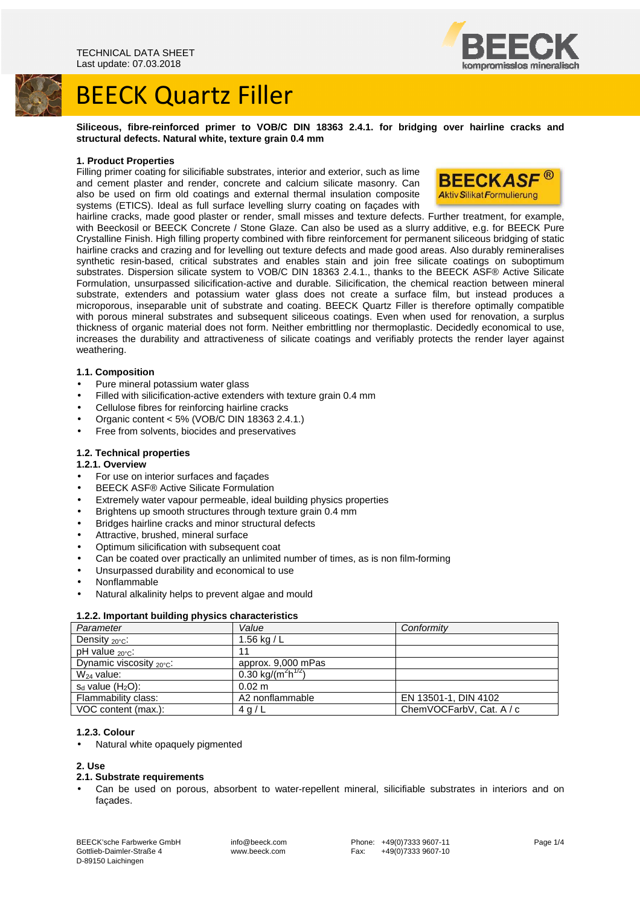



#### **Siliceous, fibre-reinforced primer to VOB/C DIN 18363 2.4.1. for bridging over hairline cracks and structural defects. Natural white, texture grain 0.4 mm**

# **1. Product Properties**

Filling primer coating for silicifiable substrates, interior and exterior, such as lime and cement plaster and render, concrete and calcium silicate masonry. Can also be used on firm old coatings and external thermal insulation composite systems (ETICS). Ideal as full surface levelling slurry coating on façades with



hairline cracks, made good plaster or render, small misses and texture defects. Further treatment, for example, with Beeckosil or BEECK Concrete / Stone Glaze. Can also be used as a slurry additive, e.g. for BEECK Pure Crystalline Finish. High filling property combined with fibre reinforcement for permanent siliceous bridging of static hairline cracks and crazing and for levelling out texture defects and made good areas. Also durably remineralises synthetic resin-based, critical substrates and enables stain and join free silicate coatings on suboptimum substrates. Dispersion silicate system to VOB/C DIN 18363 2.4.1., thanks to the BEECK ASF® Active Silicate Formulation, unsurpassed silicification-active and durable. Silicification, the chemical reaction between mineral substrate, extenders and potassium water glass does not create a surface film, but instead produces a microporous, inseparable unit of substrate and coating. BEECK Quartz Filler is therefore optimally compatible with porous mineral substrates and subsequent siliceous coatings. Even when used for renovation, a surplus thickness of organic material does not form. Neither embrittling nor thermoplastic. Decidedly economical to use, increases the durability and attractiveness of silicate coatings and verifiably protects the render layer against weathering.

# **1.1. Composition**

- Pure mineral potassium water glass
- Filled with silicification-active extenders with texture grain 0.4 mm
- Cellulose fibres for reinforcing hairline cracks
- Organic content < 5% (VOB/C DIN 18363 2.4.1.)
- Free from solvents, biocides and preservatives

# **1.2. Technical properties**

# **1.2.1. Overview**

- For use on interior surfaces and façades
- BEECK ASF® Active Silicate Formulation
- Extremely water vapour permeable, ideal building physics properties
- Brightens up smooth structures through texture grain 0.4 mm
- Bridges hairline cracks and minor structural defects
- Attractive, brushed, mineral surface
- Optimum silicification with subsequent coat
- Can be coated over practically an unlimited number of times, as is non film-forming
- Unsurpassed durability and economical to use
- Nonflammable
- Natural alkalinity helps to prevent algae and mould

# **1.2.2. Important building physics characteristics**

| Parameter                         | Value                                      | Conformity               |
|-----------------------------------|--------------------------------------------|--------------------------|
| Density $_{20^{\circ}$ C:         | 1.56 kg / $L$                              |                          |
| pH value $_{20\degree}$ C:        | 11                                         |                          |
| Dynamic viscosity $20^{\circ}$ c: | approx. 9,000 mPas                         |                          |
| $W_{24}$ value:                   | 0.30 kg/(m <sup>2</sup> h <sup>1/2</sup> ) |                          |
| $s_d$ value $(H_2O)$ :            | $0.02 \text{ m}$                           |                          |
| Flammability class:               | A2 nonflammable                            | EN 13501-1, DIN 4102     |
| VOC content (max.):               | 4q/L                                       | ChemVOCFarbV, Cat. A / c |

# **1.2.3. Colour**

• Natural white opaquely pigmented

# **2. Use**

# **2.1. Substrate requirements**

Can be used on porous, absorbent to water-repellent mineral, silicifiable substrates in interiors and on façades.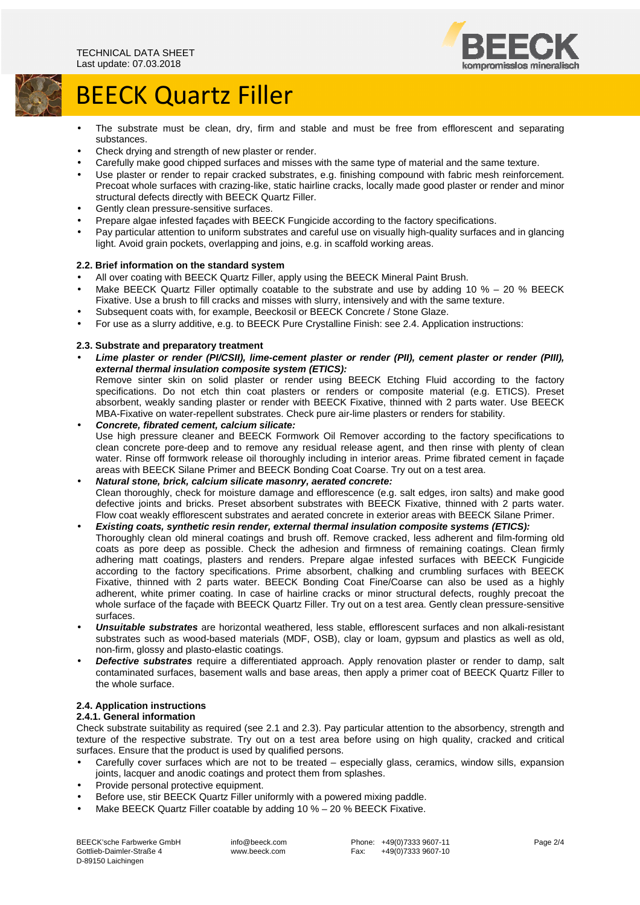

# BEECK Quartz Filler

- The substrate must be clean, dry, firm and stable and must be free from efflorescent and separating substances.
- Check drying and strength of new plaster or render.
- Carefully make good chipped surfaces and misses with the same type of material and the same texture.
- Use plaster or render to repair cracked substrates, e.g. finishing compound with fabric mesh reinforcement. Precoat whole surfaces with crazing-like, static hairline cracks, locally made good plaster or render and minor structural defects directly with BEECK Quartz Filler.
- Gently clean pressure-sensitive surfaces.
- Prepare algae infested façades with BEECK Fungicide according to the factory specifications.
- Pay particular attention to uniform substrates and careful use on visually high-quality surfaces and in glancing light. Avoid grain pockets, overlapping and joins, e.g. in scaffold working areas.

# **2.2. Brief information on the standard system**

- All over coating with BEECK Quartz Filler, apply using the BEECK Mineral Paint Brush.
- Make BEECK Quartz Filler optimally coatable to the substrate and use by adding 10 % 20 % BEECK Fixative. Use a brush to fill cracks and misses with slurry, intensively and with the same texture.
- Subsequent coats with, for example, Beeckosil or BEECK Concrete / Stone Glaze.
- For use as a slurry additive, e.g. to BEECK Pure Crystalline Finish: see 2.4. Application instructions:

# **2.3. Substrate and preparatory treatment**

• **Lime plaster or render (PI/CSII), lime-cement plaster or render (PII), cement plaster or render (PIII), external thermal insulation composite system (ETICS):** 

Remove sinter skin on solid plaster or render using BEECK Etching Fluid according to the factory specifications. Do not etch thin coat plasters or renders or composite material (e.g. ETICS). Preset absorbent, weakly sanding plaster or render with BEECK Fixative, thinned with 2 parts water. Use BEECK MBA-Fixative on water-repellent substrates. Check pure air-lime plasters or renders for stability.

- **Concrete, fibrated cement, calcium silicate:**  Use high pressure cleaner and BEECK Formwork Oil Remover according to the factory specifications to clean concrete pore-deep and to remove any residual release agent, and then rinse with plenty of clean water. Rinse off formwork release oil thoroughly including in interior areas. Prime fibrated cement in façade areas with BEECK Silane Primer and BEECK Bonding Coat Coarse. Try out on a test area.
- **Natural stone, brick, calcium silicate masonry, aerated concrete:**  Clean thoroughly, check for moisture damage and efflorescence (e.g. salt edges, iron salts) and make good defective joints and bricks. Preset absorbent substrates with BEECK Fixative, thinned with 2 parts water. Flow coat weakly efflorescent substrates and aerated concrete in exterior areas with BEECK Silane Primer.

# • **Existing coats, synthetic resin render, external thermal insulation composite systems (ETICS):**

Thoroughly clean old mineral coatings and brush off. Remove cracked, less adherent and film-forming old coats as pore deep as possible. Check the adhesion and firmness of remaining coatings. Clean firmly adhering matt coatings, plasters and renders. Prepare algae infested surfaces with BEECK Fungicide according to the factory specifications. Prime absorbent, chalking and crumbling surfaces with BEECK Fixative, thinned with 2 parts water. BEECK Bonding Coat Fine/Coarse can also be used as a highly adherent, white primer coating. In case of hairline cracks or minor structural defects, roughly precoat the whole surface of the façade with BEECK Quartz Filler. Try out on a test area. Gently clean pressure-sensitive surfaces.

- **Unsuitable substrates** are horizontal weathered, less stable, efflorescent surfaces and non alkali-resistant substrates such as wood-based materials (MDF, OSB), clay or loam, gypsum and plastics as well as old, non-firm, glossy and plasto-elastic coatings.
- **Defective substrates** require a differentiated approach. Apply renovation plaster or render to damp, salt contaminated surfaces, basement walls and base areas, then apply a primer coat of BEECK Quartz Filler to the whole surface.

# **2.4. Application instructions**

# **2.4.1. General information**

Check substrate suitability as required (see 2.1 and 2.3). Pay particular attention to the absorbency, strength and texture of the respective substrate. Try out on a test area before using on high quality, cracked and critical surfaces. Ensure that the product is used by qualified persons.

- Carefully cover surfaces which are not to be treated especially glass, ceramics, window sills, expansion joints, lacquer and anodic coatings and protect them from splashes.
- Provide personal protective equipment.
- Before use, stir BEECK Quartz Filler uniformly with a powered mixing paddle.
- Make BEECK Quartz Filler coatable by adding 10 % 20 % BEECK Fixative.

BEECK'sche Farbwerke GmbH Gottlieb-Daimler-Straße 4 D-89150 Laichingen

 info@beeck.com www.beeck.com

 Phone: +49(0)7333 9607-11 Fax: +49(0)7333 9607-10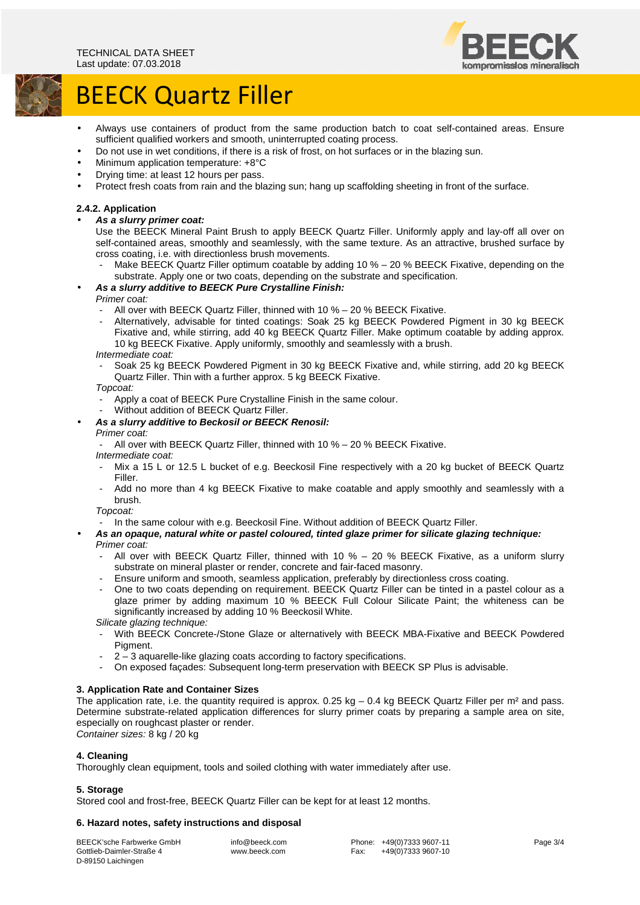

# BEECK Quartz Filler

- Always use containers of product from the same production batch to coat self-contained areas. Ensure sufficient qualified workers and smooth, uninterrupted coating process.
- Do not use in wet conditions, if there is a risk of frost, on hot surfaces or in the blazing sun.
- Minimum application temperature: +8°C
- Drying time: at least 12 hours per pass.
- Protect fresh coats from rain and the blazing sun; hang up scaffolding sheeting in front of the surface.

# **2.4.2. Application**

#### • **As a slurry primer coat:**

Use the BEECK Mineral Paint Brush to apply BEECK Quartz Filler. Uniformly apply and lay-off all over on self-contained areas, smoothly and seamlessly, with the same texture. As an attractive, brushed surface by cross coating, i.e. with directionless brush movements.

Make BEECK Quartz Filler optimum coatable by adding 10 % – 20 % BEECK Fixative, depending on the substrate. Apply one or two coats, depending on the substrate and specification.

# • **As a slurry additive to BEECK Pure Crystalline Finish:**

# Primer coat:

- All over with BEECK Quartz Filler, thinned with 10 % 20 % BEECK Fixative.
- Alternatively, advisable for tinted coatings: Soak 25 kg BEECK Powdered Pigment in 30 kg BEECK Fixative and, while stirring, add 40 kg BEECK Quartz Filler. Make optimum coatable by adding approx. 10 kg BEECK Fixative. Apply uniformly, smoothly and seamlessly with a brush.

Intermediate coat:

- Soak 25 kg BEECK Powdered Pigment in 30 kg BEECK Fixative and, while stirring, add 20 kg BEECK Quartz Filler. Thin with a further approx. 5 kg BEECK Fixative.

Topcoat:

- Apply a coat of BEECK Pure Crystalline Finish in the same colour.
- Without addition of BEECK Quartz Filler.
- **As a slurry additive to Beckosil or BEECK Renosil:**

#### Primer coat:

All over with BEECK Quartz Filler, thinned with 10 % - 20 % BEECK Fixative.

Intermediate coat:

- Mix a 15 L or 12.5 L bucket of e.g. Beeckosil Fine respectively with a 20 kg bucket of BEECK Quartz Filler.
- Add no more than 4 kg BEECK Fixative to make coatable and apply smoothly and seamlessly with a brush.

Topcoat:

- In the same colour with e.g. Beeckosil Fine. Without addition of BEECK Quartz Filler.
- **As an opaque, natural white or pastel coloured, tinted glaze primer for silicate glazing technique:**  Primer coat:
	- All over with BEECK Quartz Filler, thinned with 10 % 20 % BEECK Fixative, as a uniform slurry substrate on mineral plaster or render, concrete and fair-faced masonry.
	- Ensure uniform and smooth, seamless application, preferably by directionless cross coating.
	- One to two coats depending on requirement. BEECK Quartz Filler can be tinted in a pastel colour as a glaze primer by adding maximum 10 % BEECK Full Colour Silicate Paint; the whiteness can be significantly increased by adding 10 % Beeckosil White.

Silicate glazing technique:

- With BEECK Concrete-/Stone Glaze or alternatively with BEECK MBA-Fixative and BEECK Powdered Piament.
- 2 3 aquarelle-like glazing coats according to factory specifications.
- On exposed façades: Subsequent long-term preservation with BEECK SP Plus is advisable.

# **3. Application Rate and Container Sizes**

The application rate, i.e. the quantity required is approx.  $0.25$  kg – 0.4 kg BEECK Quartz Filler per  $m^2$  and pass. Determine substrate-related application differences for slurry primer coats by preparing a sample area on site, especially on roughcast plaster or render.

Container sizes: 8 kg / 20 kg

# **4. Cleaning**

Thoroughly clean equipment, tools and soiled clothing with water immediately after use.

# **5. Storage**

Stored cool and frost-free, BEECK Quartz Filler can be kept for at least 12 months.

# **6. Hazard notes, safety instructions and disposal**

BEECK'sche Farbwerke GmbH Gottlieb-Daimler-Straße 4 D-89150 Laichingen

 info@beeck.com www.beeck.com  Phone: +49(0)7333 9607-11 Fax: +49(0)7333 9607-10